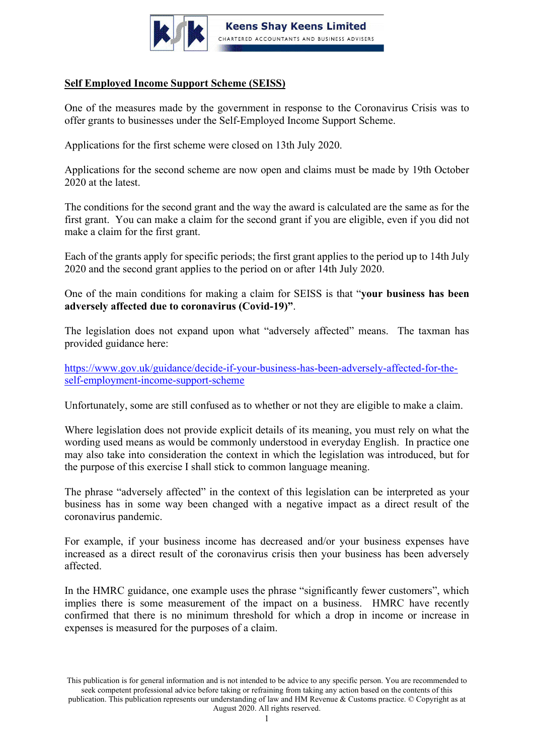

## **Self Employed Income Support Scheme (SEISS)**

One of the measures made by the government in response to the Coronavirus Crisis was to offer grants to businesses under the Self-Employed Income Support Scheme.

Applications for the first scheme were closed on 13th July 2020.

Applications for the second scheme are now open and claims must be made by 19th October 2020 at the latest.

The conditions for the second grant and the way the award is calculated are the same as for the first grant. You can make a claim for the second grant if you are eligible, even if you did not make a claim for the first grant.

Each of the grants apply for specific periods; the first grant applies to the period up to 14th July 2020 and the second grant applies to the period on or after 14th July 2020.

One of the main conditions for making a claim for SEISS is that "**your business has been adversely affected due to coronavirus (Covid-19)"**.

The legislation does not expand upon what "adversely affected" means. The taxman has provided guidance here:

[https://www.gov.uk/guidance/decide-if-your-business-has-been-adversely-affected-for-the](https://www.gov.uk/guidance/decide-if-your-business-has-been-adversely-affected-for-the-self-employment-income-support-scheme)[self-employment-income-support-scheme](https://www.gov.uk/guidance/decide-if-your-business-has-been-adversely-affected-for-the-self-employment-income-support-scheme)

Unfortunately, some are still confused as to whether or not they are eligible to make a claim.

Where legislation does not provide explicit details of its meaning, you must rely on what the wording used means as would be commonly understood in everyday English. In practice one may also take into consideration the context in which the legislation was introduced, but for the purpose of this exercise I shall stick to common language meaning.

The phrase "adversely affected" in the context of this legislation can be interpreted as your business has in some way been changed with a negative impact as a direct result of the coronavirus pandemic.

For example, if your business income has decreased and/or your business expenses have increased as a direct result of the coronavirus crisis then your business has been adversely affected.

In the HMRC guidance, one example uses the phrase "significantly fewer customers", which implies there is some measurement of the impact on a business. HMRC have recently confirmed that there is no minimum threshold for which a drop in income or increase in expenses is measured for the purposes of a claim.

This publication is for general information and is not intended to be advice to any specific person. You are recommended to seek competent professional advice before taking or refraining from taking any action based on the contents of this publication. This publication represents our understanding of law and HM Revenue & Customs practice. © Copyright as at August 2020. All rights reserved.